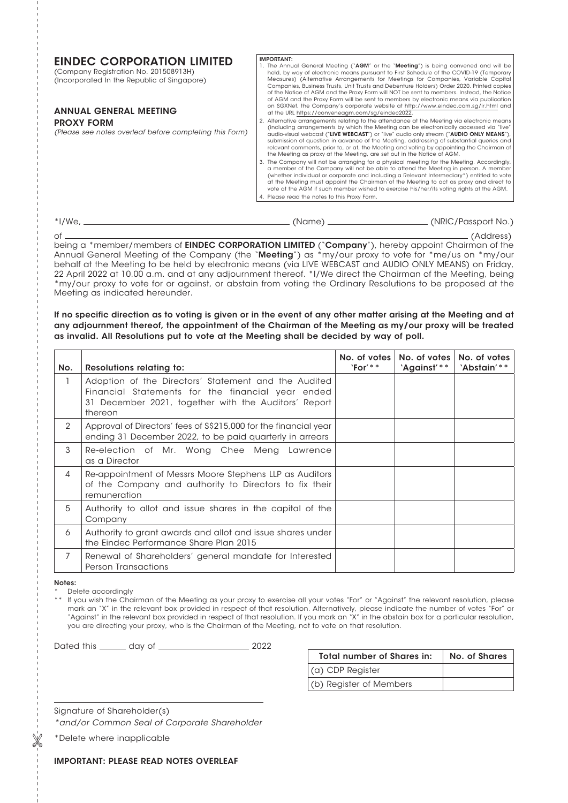| <b>EINDEC CORPORATION LIMITED</b><br>(Company Registration No. 201508913H)<br>(Incorporated In the Republic of Singapore) | <b>IMPORTANT:</b><br>1. The Annual General Meeting (" <b>AGM</b> " or the " <b>Meeting</b> ") is being convened and will be<br>held, by way of electronic means pursuant to First Schedule of the COVID-19 (Temporary<br>Measures) (Alternative Arrangements for Meetings for Companies, Variable Capital<br>Companies, Business Trusts, Unit Trusts and Debenture Holders) Order 2020. Printed copies<br>of the Notice of AGM and the Proxy Form will NOT be sent to members. Instead, the Notice<br>of AGM and the Proxy Form will be sent to members by electronic means via publication                                                                                                |  |
|---------------------------------------------------------------------------------------------------------------------------|--------------------------------------------------------------------------------------------------------------------------------------------------------------------------------------------------------------------------------------------------------------------------------------------------------------------------------------------------------------------------------------------------------------------------------------------------------------------------------------------------------------------------------------------------------------------------------------------------------------------------------------------------------------------------------------------|--|
| <b>ANNUAL GENERAL MEETING</b><br><b>PROXY FORM</b><br>(Please see notes overleaf before completing this Form)             | on SGXNet, the Company's corporate website at http://www.eindec.com.sq/ir.html and<br>at the URL https://conveneagm.com/sg/eindec2022.<br>2. Alternative arrangements relating to the attendance at the Meeting via electronic means<br>(including arrangements by which the Meeting can be electronically accessed via "live"<br>audio-visual webcast ("LIVE WEBCAST") or "live" audio only stream ("AUDIO ONLY MEANS"),<br>submission of question in advance of the Meeting, addressing of substantial queries and<br>relevant comments, prior to, or at, the Meeting and voting by appointing the Chairman of<br>the Meeting as proxy at the Meeting, are set out in the Notice of AGM. |  |
|                                                                                                                           | 3. The Company will not be arranging for a physical meeting for the Meeting. Accordingly,<br>a member of the Company will not be able to attend the Meeting in person. A member<br>(whether individual or corporate and including a Relevant Intermediary*) entitled to vote<br>at the Meeting must appoint the Chairman of the Meeting to act as proxy and direct to<br>vote at the AGM if such member wished to exercise his/her/its voting rights at the AGM.<br>4. Please read the notes to this Proxy Form.                                                                                                                                                                           |  |

| $*$ I/We. | (Name | (NRIC/Passport No.) |
|-----------|-------|---------------------|
|           |       |                     |

of (Address) being a \*member/members of **EINDEC CORPORATION LIMITED** ("**Company**"), hereby appoint Chairman of the Annual General Meeting of the Company (the "Meeting") as \*my/our proxy to vote for \*me/us on \*my/our behalf at the Meeting to be held by electronic means (via LIVE WEBCAST and AUDIO ONLY MEANS) on Friday, 22 April 2022 at 10.00 a.m. and at any adjournment thereof. \*I/We direct the Chairman of the Meeting, being \*my/our proxy to vote for or against, or abstain from voting the Ordinary Resolutions to be proposed at the Meeting as indicated hereunder.

## If no specific direction as to voting is given or in the event of any other matter arising at the Meeting and at any adjournment thereof, the appointment of the Chairman of the Meeting as my/our proxy will be treated as invalid. All Resolutions put to vote at the Meeting shall be decided by way of poll.

| No. | <b>Resolutions relating to:</b>                                                                                                                                              | $'For'$ ** | No. of votes   No. of votes  <br>'Against'** | No. of votes<br>'Abstain'** |
|-----|------------------------------------------------------------------------------------------------------------------------------------------------------------------------------|------------|----------------------------------------------|-----------------------------|
|     | Adoption of the Directors' Statement and the Audited<br>Financial Statements for the financial year ended<br>31 December 2021, together with the Auditors' Report<br>thereon |            |                                              |                             |
| 2   | Approval of Directors' fees of \$\$215,000 for the financial year<br>ending 31 December 2022, to be paid quarterly in arrears                                                |            |                                              |                             |
| 3   | Re-election of Mr. Wong Chee Meng Lawrence<br>as a Director                                                                                                                  |            |                                              |                             |
| 4   | Re-appointment of Messrs Moore Stephens LLP as Auditors<br>of the Company and authority to Directors to fix their<br>remuneration                                            |            |                                              |                             |
| 5   | Authority to allot and issue shares in the capital of the<br>Company                                                                                                         |            |                                              |                             |
| 6   | Authority to grant awards and allot and issue shares under<br>the Eindec Performance Share Plan 2015                                                                         |            |                                              |                             |
| 7   | Renewal of Shareholders' general mandate for Interested<br><b>Person Transactions</b>                                                                                        |            |                                              |                             |

#### Notes:

- Delete accordingly
- If you wish the Chairman of the Meeting as your proxy to exercise all your votes "For" or "Against" the relevant resolution, please mark an "X" in the relevant box provided in respect of that resolution. Alternatively, please indicate the number of votes "For" or "Against" in the relevant box provided in respect of that resolution. If you mark an "X" in the abstain box for a particular resolution, you are directing your proxy, who is the Chairman of the Meeting, not to vote on that resolution.

Dated this day of 2022

| Total number of Shares in: | No. of Shares |
|----------------------------|---------------|
| (a) CDP Register           |               |
| (b) Register of Members    |               |

Signature of Shareholder(s)

*\*and/or Common Seal of Corporate Shareholder*

\*Delete where inapplicable

# IMPORTANT: PLEASE READ NOTES OVERLEAF